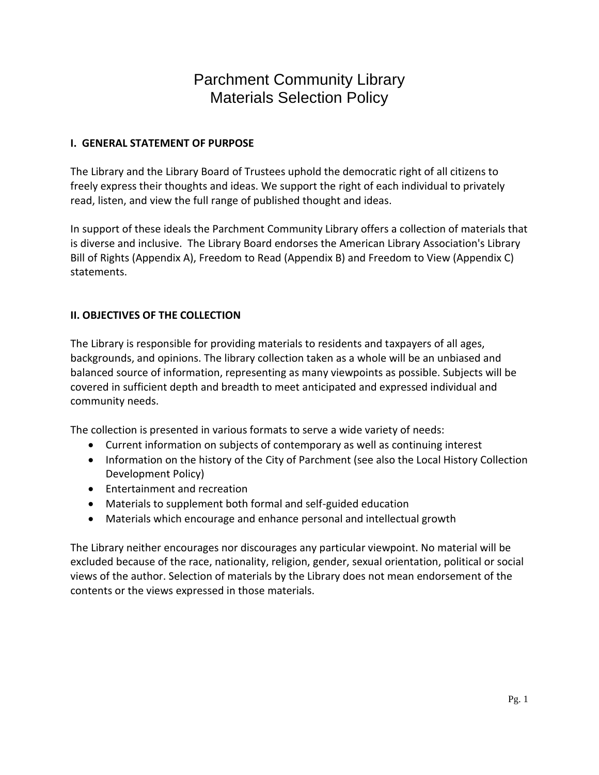#### **I. GENERAL STATEMENT OF PURPOSE**

The Library and the Library Board of Trustees uphold the democratic right of all citizens to freely express their thoughts and ideas. We support the right of each individual to privately read, listen, and view the full range of published thought and ideas.

In support of these ideals the Parchment Community Library offers a collection of materials that is diverse and inclusive. The Library Board endorses the American Library Association's Library Bill of Rights (Appendix A), Freedom to Read (Appendix B) and Freedom to View (Appendix C) statements.

#### **II. OBJECTIVES OF THE COLLECTION**

The Library is responsible for providing materials to residents and taxpayers of all ages, backgrounds, and opinions. The library collection taken as a whole will be an unbiased and balanced source of information, representing as many viewpoints as possible. Subjects will be covered in sufficient depth and breadth to meet anticipated and expressed individual and community needs.

The collection is presented in various formats to serve a wide variety of needs:

- Current information on subjects of contemporary as well as continuing interest
- Information on the history of the City of Parchment (see also the Local History Collection Development Policy)
- Entertainment and recreation
- Materials to supplement both formal and self-guided education
- Materials which encourage and enhance personal and intellectual growth

The Library neither encourages nor discourages any particular viewpoint. No material will be excluded because of the race, nationality, religion, gender, sexual orientation, political or social views of the author. Selection of materials by the Library does not mean endorsement of the contents or the views expressed in those materials.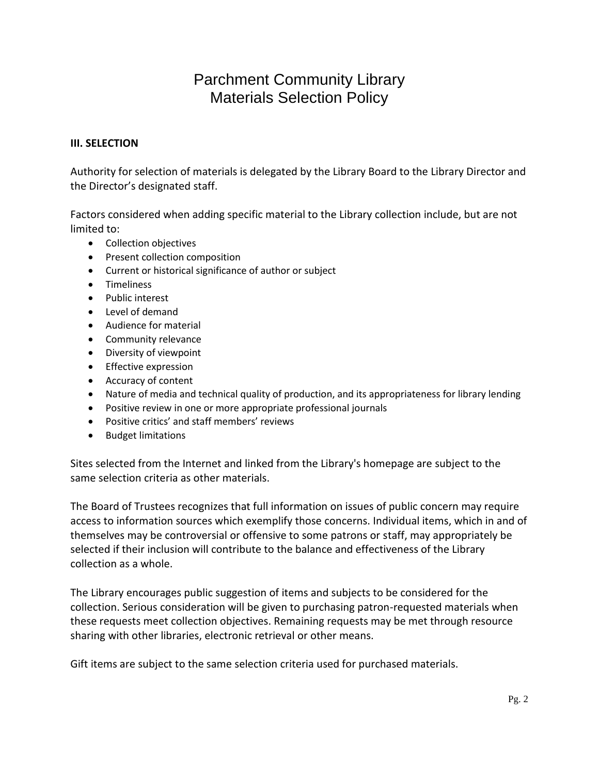#### **III. SELECTION**

Authority for selection of materials is delegated by the Library Board to the Library Director and the Director's designated staff.

Factors considered when adding specific material to the Library collection include, but are not limited to:

- Collection objectives
- Present collection composition
- Current or historical significance of author or subject
- Timeliness
- Public interest
- Level of demand
- Audience for material
- Community relevance
- Diversity of viewpoint
- **•** Effective expression
- Accuracy of content
- Nature of media and technical quality of production, and its appropriateness for library lending
- Positive review in one or more appropriate professional journals
- Positive critics' and staff members' reviews
- **•** Budget limitations

Sites selected from the Internet and linked from the Library's homepage are subject to the same selection criteria as other materials.

The Board of Trustees recognizes that full information on issues of public concern may require access to information sources which exemplify those concerns. Individual items, which in and of themselves may be controversial or offensive to some patrons or staff, may appropriately be selected if their inclusion will contribute to the balance and effectiveness of the Library collection as a whole.

The Library encourages public suggestion of items and subjects to be considered for the collection. Serious consideration will be given to purchasing patron-requested materials when these requests meet collection objectives. Remaining requests may be met through resource sharing with other libraries, electronic retrieval or other means.

Gift items are subject to the same selection criteria used for purchased materials.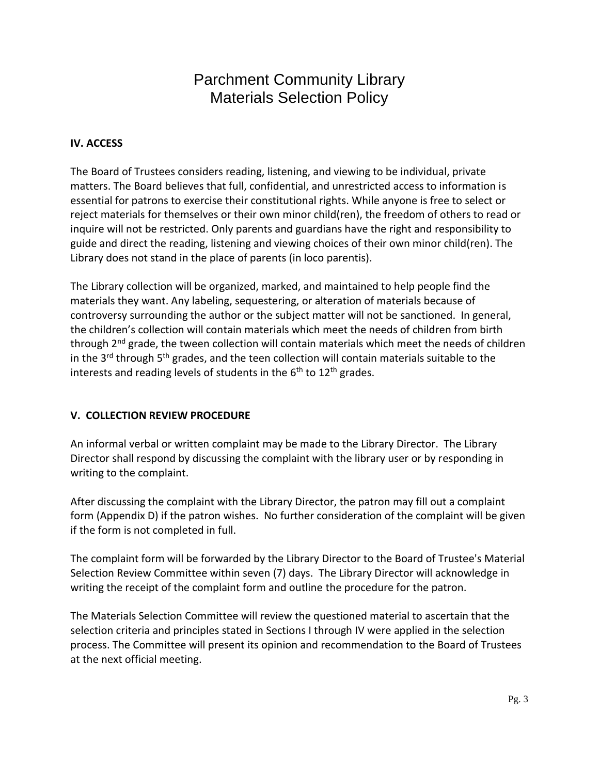#### **IV. ACCESS**

The Board of Trustees considers reading, listening, and viewing to be individual, private matters. The Board believes that full, confidential, and unrestricted access to information is essential for patrons to exercise their constitutional rights. While anyone is free to select or reject materials for themselves or their own minor child(ren), the freedom of others to read or inquire will not be restricted. Only parents and guardians have the right and responsibility to guide and direct the reading, listening and viewing choices of their own minor child(ren). The Library does not stand in the place of parents (in loco parentis).

The Library collection will be organized, marked, and maintained to help people find the materials they want. Any labeling, sequestering, or alteration of materials because of controversy surrounding the author or the subject matter will not be sanctioned. In general, the children's collection will contain materials which meet the needs of children from birth through 2<sup>nd</sup> grade, the tween collection will contain materials which meet the needs of children in the 3<sup>rd</sup> through 5<sup>th</sup> grades, and the teen collection will contain materials suitable to the interests and reading levels of students in the  $6<sup>th</sup>$  to  $12<sup>th</sup>$  grades.

#### **V. COLLECTION REVIEW PROCEDURE**

An informal verbal or written complaint may be made to the Library Director. The Library Director shall respond by discussing the complaint with the library user or by responding in writing to the complaint.

After discussing the complaint with the Library Director, the patron may fill out a complaint form (Appendix D) if the patron wishes. No further consideration of the complaint will be given if the form is not completed in full.

The complaint form will be forwarded by the Library Director to the Board of Trustee's Material Selection Review Committee within seven (7) days. The Library Director will acknowledge in writing the receipt of the complaint form and outline the procedure for the patron.

The Materials Selection Committee will review the questioned material to ascertain that the selection criteria and principles stated in Sections I through IV were applied in the selection process. The Committee will present its opinion and recommendation to the Board of Trustees at the next official meeting.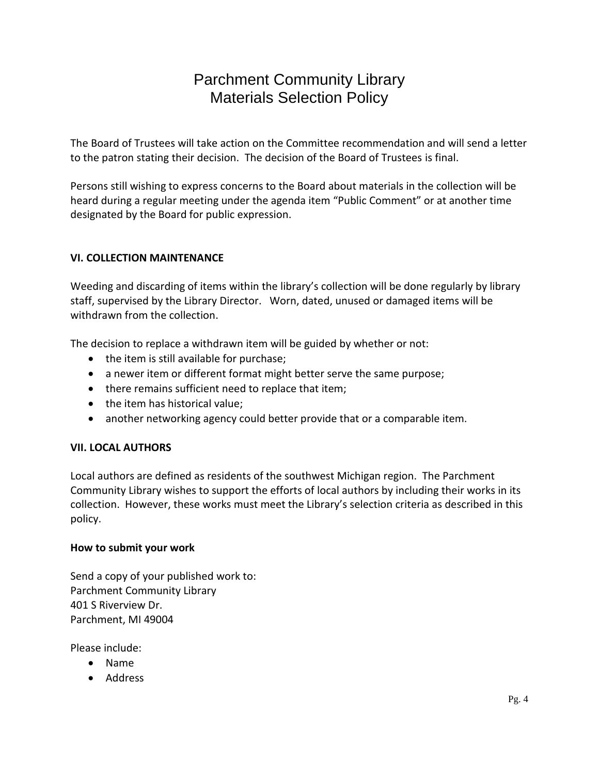The Board of Trustees will take action on the Committee recommendation and will send a letter to the patron stating their decision. The decision of the Board of Trustees is final.

Persons still wishing to express concerns to the Board about materials in the collection will be heard during a regular meeting under the agenda item "Public Comment" or at another time designated by the Board for public expression.

### **VI. COLLECTION MAINTENANCE**

Weeding and discarding of items within the library's collection will be done regularly by library staff, supervised by the Library Director. Worn, dated, unused or damaged items will be withdrawn from the collection.

The decision to replace a withdrawn item will be guided by whether or not:

- the item is still available for purchase;
- a newer item or different format might better serve the same purpose;
- there remains sufficient need to replace that item;
- the item has historical value;
- another networking agency could better provide that or a comparable item.

#### **VII. LOCAL AUTHORS**

Local authors are defined as residents of the southwest Michigan region. The Parchment Community Library wishes to support the efforts of local authors by including their works in its collection. However, these works must meet the Library's selection criteria as described in this policy.

#### **How to submit your work**

Send a copy of your published work to: Parchment Community Library 401 S Riverview Dr. Parchment, MI 49004

Please include:

- Name
- Address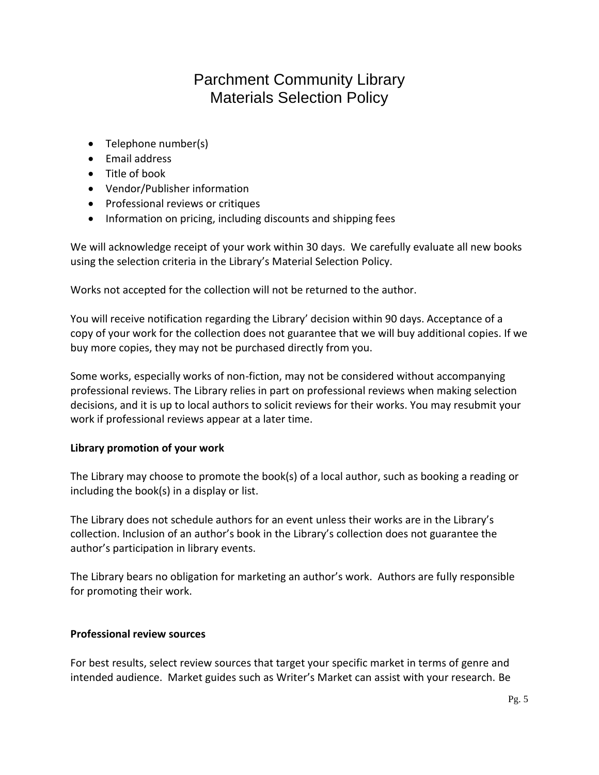- Telephone number(s)
- **•** Email address
- Title of book
- Vendor/Publisher information
- Professional reviews or critiques
- Information on pricing, including discounts and shipping fees

We will acknowledge receipt of your work within 30 days. We carefully evaluate all new books using the selection criteria in the Library's Material Selection Policy.

Works not accepted for the collection will not be returned to the author.

You will receive notification regarding the Library' decision within 90 days. Acceptance of a copy of your work for the collection does not guarantee that we will buy additional copies. If we buy more copies, they may not be purchased directly from you.

Some works, especially works of non-fiction, may not be considered without accompanying professional reviews. The Library relies in part on professional reviews when making selection decisions, and it is up to local authors to solicit reviews for their works. You may resubmit your work if professional reviews appear at a later time.

#### **Library promotion of your work**

The Library may choose to promote the book(s) of a local author, such as booking a reading or including the book(s) in a display or list.

The Library does not schedule authors for an event unless their works are in the Library's collection. Inclusion of an author's book in the Library's collection does not guarantee the author's participation in library events.

The Library bears no obligation for marketing an author's work. Authors are fully responsible for promoting their work.

#### **Professional review sources**

For best results, select review sources that target your specific market in terms of genre and intended audience. Market guides such as Writer's Market can assist with your research. Be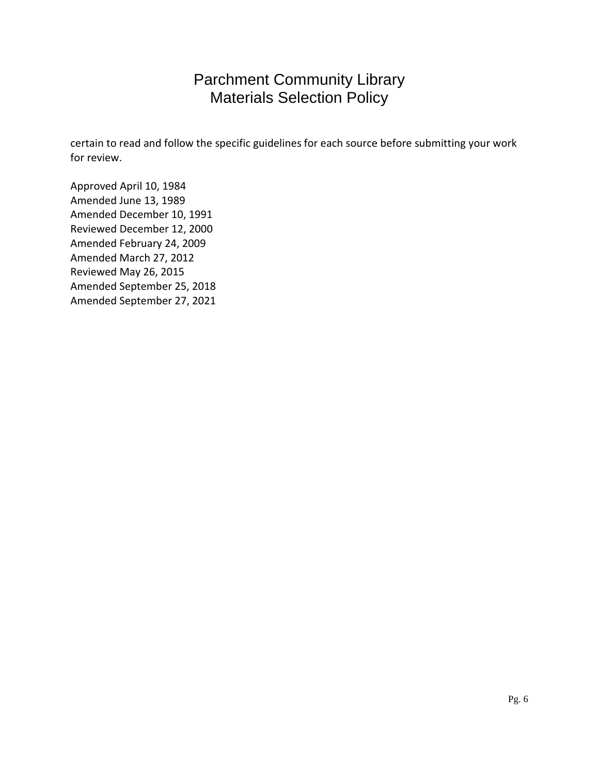certain to read and follow the specific guidelines for each source before submitting your work for review.

Approved April 10, 1984 Amended June 13, 1989 Amended December 10, 1991 Reviewed December 12, 2000 Amended February 24, 2009 Amended March 27, 2012 Reviewed May 26, 2015 Amended September 25, 2018 Amended September 27, 2021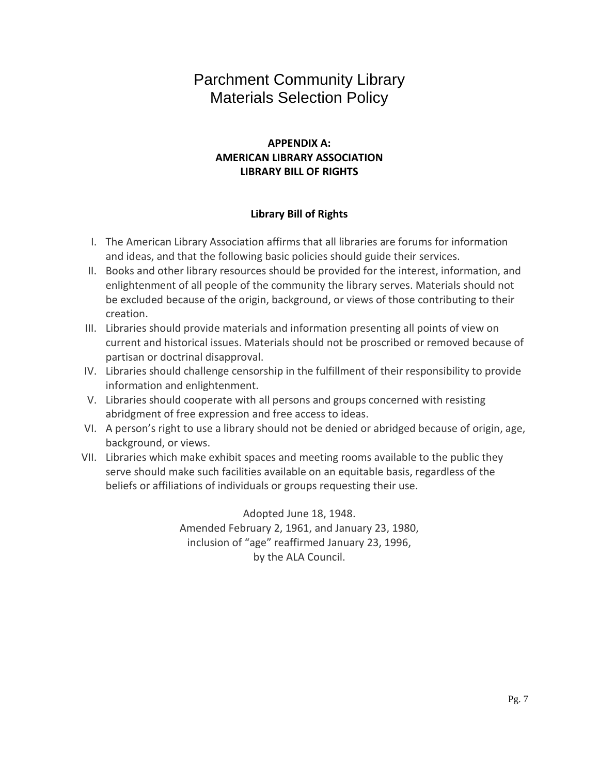## **APPENDIX A: AMERICAN LIBRARY ASSOCIATION LIBRARY BILL OF RIGHTS**

#### **Library Bill of Rights**

- I. The American Library Association affirms that all libraries are forums for information and ideas, and that the following basic policies should guide their services.
- II. Books and other library resources should be provided for the interest, information, and enlightenment of all people of the community the library serves. Materials should not be excluded because of the origin, background, or views of those contributing to their creation.
- III. Libraries should provide materials and information presenting all points of view on current and historical issues. Materials should not be proscribed or removed because of partisan or doctrinal disapproval.
- IV. Libraries should challenge censorship in the fulfillment of their responsibility to provide information and enlightenment.
- V. Libraries should cooperate with all persons and groups concerned with resisting abridgment of free expression and free access to ideas.
- VI. A person's right to use a library should not be denied or abridged because of origin, age, background, or views.
- VII. Libraries which make exhibit spaces and meeting rooms available to the public they serve should make such facilities available on an equitable basis, regardless of the beliefs or affiliations of individuals or groups requesting their use.

Adopted June 18, 1948. Amended February 2, 1961, and January 23, 1980, inclusion of "age" reaffirmed January 23, 1996, by the ALA Council.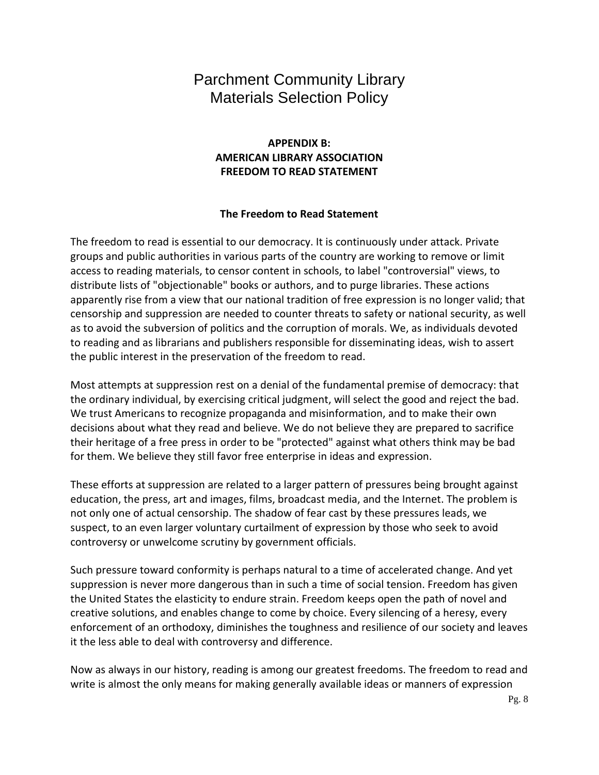## **APPENDIX B: AMERICAN LIBRARY ASSOCIATION FREEDOM TO READ STATEMENT**

#### **The Freedom to Read Statement**

The freedom to read is essential to our democracy. It is continuously under attack. Private groups and public authorities in various parts of the country are working to remove or limit access to reading materials, to censor content in schools, to label "controversial" views, to distribute lists of "objectionable" books or authors, and to purge libraries. These actions apparently rise from a view that our national tradition of free expression is no longer valid; that censorship and suppression are needed to counter threats to safety or national security, as well as to avoid the subversion of politics and the corruption of morals. We, as individuals devoted to reading and as librarians and publishers responsible for disseminating ideas, wish to assert the public interest in the preservation of the freedom to read.

Most attempts at suppression rest on a denial of the fundamental premise of democracy: that the ordinary individual, by exercising critical judgment, will select the good and reject the bad. We trust Americans to recognize propaganda and misinformation, and to make their own decisions about what they read and believe. We do not believe they are prepared to sacrifice their heritage of a free press in order to be "protected" against what others think may be bad for them. We believe they still favor free enterprise in ideas and expression.

These efforts at suppression are related to a larger pattern of pressures being brought against education, the press, art and images, films, broadcast media, and the Internet. The problem is not only one of actual censorship. The shadow of fear cast by these pressures leads, we suspect, to an even larger voluntary curtailment of expression by those who seek to avoid controversy or unwelcome scrutiny by government officials.

Such pressure toward conformity is perhaps natural to a time of accelerated change. And yet suppression is never more dangerous than in such a time of social tension. Freedom has given the United States the elasticity to endure strain. Freedom keeps open the path of novel and creative solutions, and enables change to come by choice. Every silencing of a heresy, every enforcement of an orthodoxy, diminishes the toughness and resilience of our society and leaves it the less able to deal with controversy and difference.

Now as always in our history, reading is among our greatest freedoms. The freedom to read and write is almost the only means for making generally available ideas or manners of expression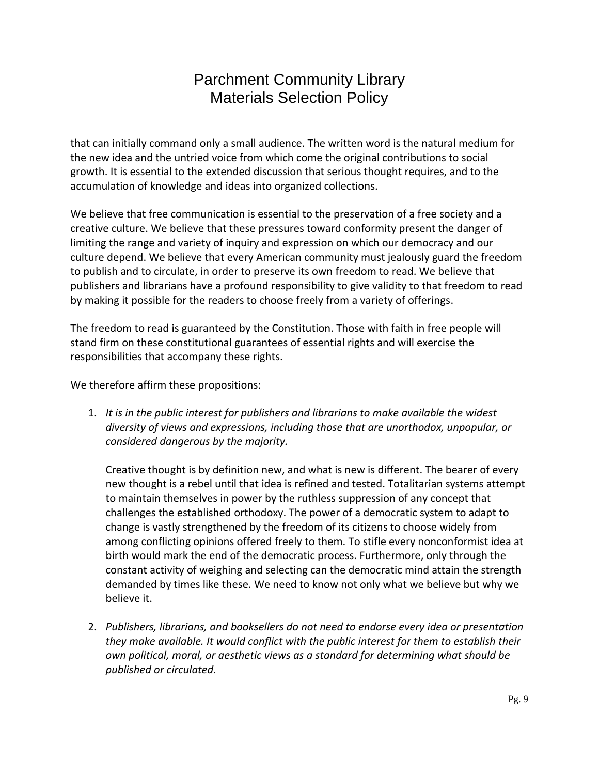that can initially command only a small audience. The written word is the natural medium for the new idea and the untried voice from which come the original contributions to social growth. It is essential to the extended discussion that serious thought requires, and to the accumulation of knowledge and ideas into organized collections.

We believe that free communication is essential to the preservation of a free society and a creative culture. We believe that these pressures toward conformity present the danger of limiting the range and variety of inquiry and expression on which our democracy and our culture depend. We believe that every American community must jealously guard the freedom to publish and to circulate, in order to preserve its own freedom to read. We believe that publishers and librarians have a profound responsibility to give validity to that freedom to read by making it possible for the readers to choose freely from a variety of offerings.

The freedom to read is guaranteed by the Constitution. Those with faith in free people will stand firm on these constitutional guarantees of essential rights and will exercise the responsibilities that accompany these rights.

We therefore affirm these propositions:

1. *It is in the public interest for publishers and librarians to make available the widest diversity of views and expressions, including those that are unorthodox, unpopular, or considered dangerous by the majority.*

Creative thought is by definition new, and what is new is different. The bearer of every new thought is a rebel until that idea is refined and tested. Totalitarian systems attempt to maintain themselves in power by the ruthless suppression of any concept that challenges the established orthodoxy. The power of a democratic system to adapt to change is vastly strengthened by the freedom of its citizens to choose widely from among conflicting opinions offered freely to them. To stifle every nonconformist idea at birth would mark the end of the democratic process. Furthermore, only through the constant activity of weighing and selecting can the democratic mind attain the strength demanded by times like these. We need to know not only what we believe but why we believe it.

2. *Publishers, librarians, and booksellers do not need to endorse every idea or presentation they make available. It would conflict with the public interest for them to establish their own political, moral, or aesthetic views as a standard for determining what should be published or circulated.*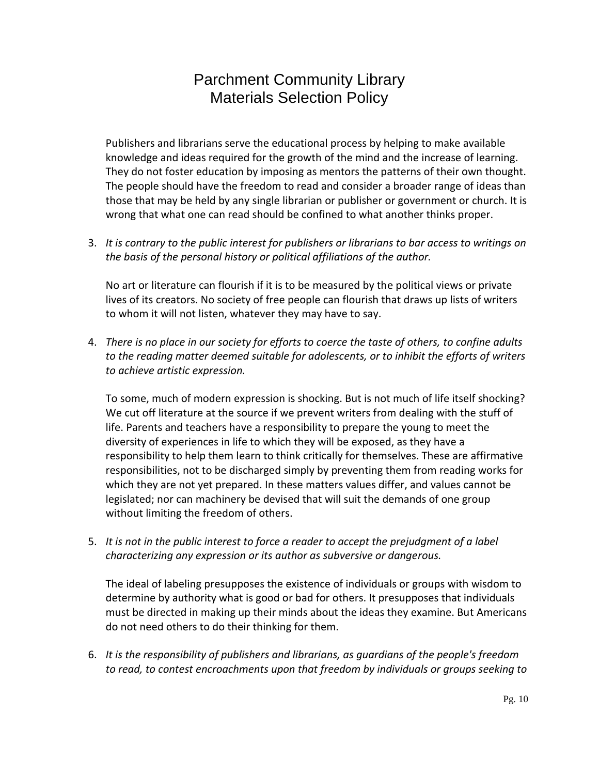Publishers and librarians serve the educational process by helping to make available knowledge and ideas required for the growth of the mind and the increase of learning. They do not foster education by imposing as mentors the patterns of their own thought. The people should have the freedom to read and consider a broader range of ideas than those that may be held by any single librarian or publisher or government or church. It is wrong that what one can read should be confined to what another thinks proper.

3. *It is contrary to the public interest for publishers or librarians to bar access to writings on the basis of the personal history or political affiliations of the author.*

No art or literature can flourish if it is to be measured by the political views or private lives of its creators. No society of free people can flourish that draws up lists of writers to whom it will not listen, whatever they may have to say.

4. *There is no place in our society for efforts to coerce the taste of others, to confine adults to the reading matter deemed suitable for adolescents, or to inhibit the efforts of writers to achieve artistic expression.*

To some, much of modern expression is shocking. But is not much of life itself shocking? We cut off literature at the source if we prevent writers from dealing with the stuff of life. Parents and teachers have a responsibility to prepare the young to meet the diversity of experiences in life to which they will be exposed, as they have a responsibility to help them learn to think critically for themselves. These are affirmative responsibilities, not to be discharged simply by preventing them from reading works for which they are not yet prepared. In these matters values differ, and values cannot be legislated; nor can machinery be devised that will suit the demands of one group without limiting the freedom of others.

5. *It is not in the public interest to force a reader to accept the prejudgment of a label characterizing any expression or its author as subversive or dangerous.*

The ideal of labeling presupposes the existence of individuals or groups with wisdom to determine by authority what is good or bad for others. It presupposes that individuals must be directed in making up their minds about the ideas they examine. But Americans do not need others to do their thinking for them.

6. *It is the responsibility of publishers and librarians, as guardians of the people's freedom to read, to contest encroachments upon that freedom by individuals or groups seeking to*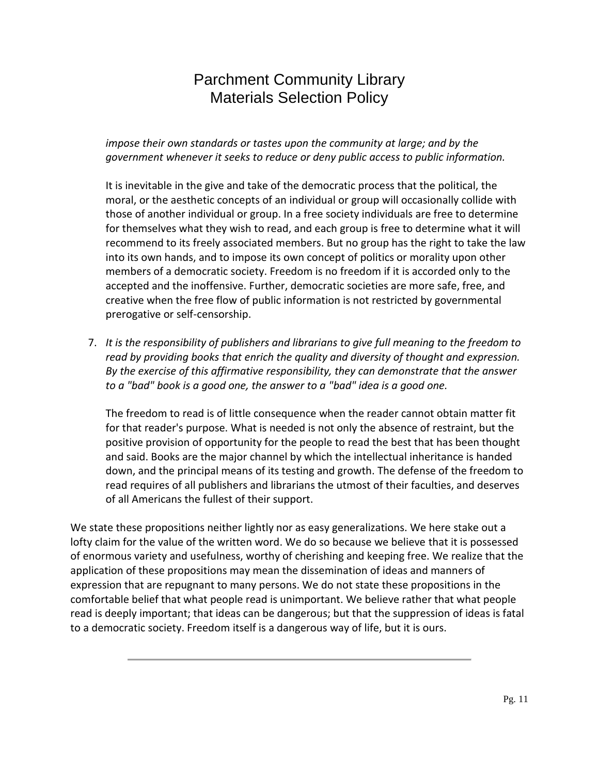*impose their own standards or tastes upon the community at large; and by the government whenever it seeks to reduce or deny public access to public information.*

It is inevitable in the give and take of the democratic process that the political, the moral, or the aesthetic concepts of an individual or group will occasionally collide with those of another individual or group. In a free society individuals are free to determine for themselves what they wish to read, and each group is free to determine what it will recommend to its freely associated members. But no group has the right to take the law into its own hands, and to impose its own concept of politics or morality upon other members of a democratic society. Freedom is no freedom if it is accorded only to the accepted and the inoffensive. Further, democratic societies are more safe, free, and creative when the free flow of public information is not restricted by governmental prerogative or self-censorship.

7. *It is the responsibility of publishers and librarians to give full meaning to the freedom to read by providing books that enrich the quality and diversity of thought and expression. By the exercise of this affirmative responsibility, they can demonstrate that the answer to a "bad" book is a good one, the answer to a "bad" idea is a good one.*

The freedom to read is of little consequence when the reader cannot obtain matter fit for that reader's purpose. What is needed is not only the absence of restraint, but the positive provision of opportunity for the people to read the best that has been thought and said. Books are the major channel by which the intellectual inheritance is handed down, and the principal means of its testing and growth. The defense of the freedom to read requires of all publishers and librarians the utmost of their faculties, and deserves of all Americans the fullest of their support.

We state these propositions neither lightly nor as easy generalizations. We here stake out a lofty claim for the value of the written word. We do so because we believe that it is possessed of enormous variety and usefulness, worthy of cherishing and keeping free. We realize that the application of these propositions may mean the dissemination of ideas and manners of expression that are repugnant to many persons. We do not state these propositions in the comfortable belief that what people read is unimportant. We believe rather that what people read is deeply important; that ideas can be dangerous; but that the suppression of ideas is fatal to a democratic society. Freedom itself is a dangerous way of life, but it is ours.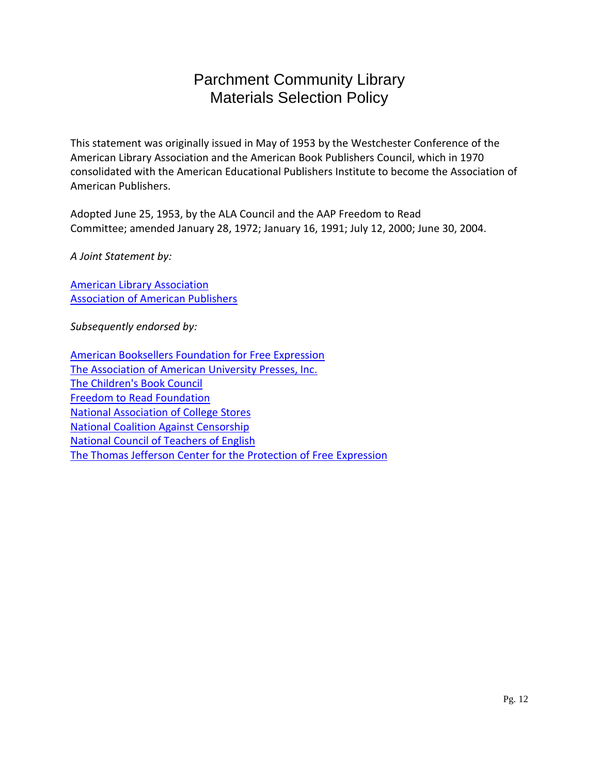This statement was originally issued in May of 1953 by the Westchester Conference of the American Library Association and the American Book Publishers Council, which in 1970 consolidated with the American Educational Publishers Institute to become the Association of American Publishers.

Adopted June 25, 1953, by the ALA Council and the AAP Freedom to Read Committee; amended January 28, 1972; January 16, 1991; July 12, 2000; June 30, 2004.

*A Joint Statement by:*

[American Library Association](http://www.ala.org/) [Association of American Publishers](http://www.publishers.org/)

*Subsequently endorsed by:*

[American Booksellers Foundation](http://www.abffe.com/) for Free Expression [The Association of American University Presses, Inc.](http://www.aaupnet.org/) [The Children's Book Council](http://www.cbcbooks.org/) [Freedom to Read Foundation](http://www.ala.org/groups/affiliates/relatedgroups/freedomtoreadfoundation) [National Association of College Stores](http://www.nacs.org/) [National Coalition Against Censorship](http://www.ncac.org/) [National Council of Teachers of English](http://www.ncte.org/) [The Thomas Jefferson Center for the Protection of Free](http://www.tjcenter.org/) Expression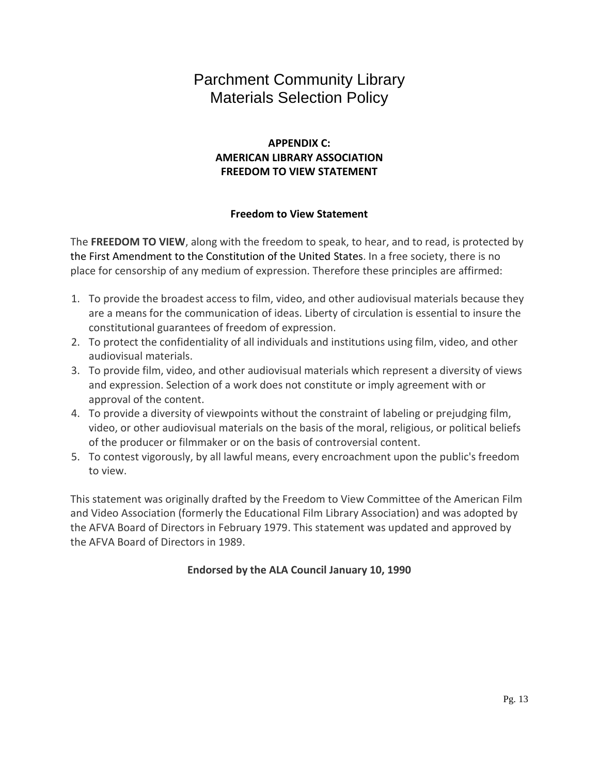## **APPENDIX C: AMERICAN LIBRARY ASSOCIATION FREEDOM TO VIEW STATEMENT**

#### **Freedom to View Statement**

The **FREEDOM TO VIEW**, along with the freedom to speak, to hear, and to read, is protected by the First Amendment to the Constitution of the United States. In a free society, there is no place for censorship of any medium of expression. Therefore these principles are affirmed:

- 1. To provide the broadest access to film, video, and other audiovisual materials because they are a means for the communication of ideas. Liberty of circulation is essential to insure the constitutional guarantees of freedom of expression.
- 2. To protect the confidentiality of all individuals and institutions using film, video, and other audiovisual materials.
- 3. To provide film, video, and other audiovisual materials which represent a diversity of views and expression. Selection of a work does not constitute or imply agreement with or approval of the content.
- 4. To provide a diversity of viewpoints without the constraint of labeling or prejudging film, video, or other audiovisual materials on the basis of the moral, religious, or political beliefs of the producer or filmmaker or on the basis of controversial content.
- 5. To contest vigorously, by all lawful means, every encroachment upon the public's freedom to view.

This statement was originally drafted by the Freedom to View Committee of the American Film and Video Association (formerly the Educational Film Library Association) and was adopted by the AFVA Board of Directors in February 1979. This statement was updated and approved by the AFVA Board of Directors in 1989.

**Endorsed by the ALA Council January 10, 1990**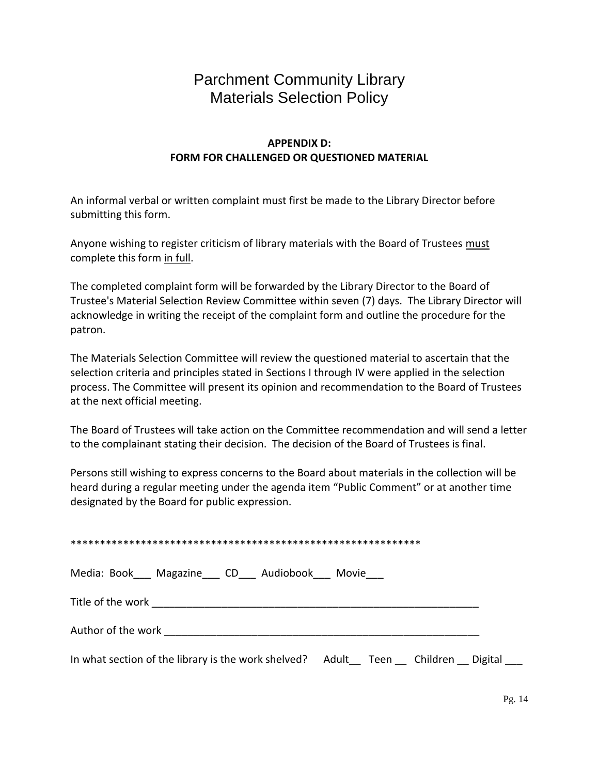### **APPENDIX D: FORM FOR CHALLENGED OR QUESTIONED MATERIAL**

An informal verbal or written complaint must first be made to the Library Director before submitting this form.

Anyone wishing to register criticism of library materials with the Board of Trustees must complete this form in full.

The completed complaint form will be forwarded by the Library Director to the Board of Trustee's Material Selection Review Committee within seven (7) days. The Library Director will acknowledge in writing the receipt of the complaint form and outline the procedure for the patron.

The Materials Selection Committee will review the questioned material to ascertain that the selection criteria and principles stated in Sections I through IV were applied in the selection process. The Committee will present its opinion and recommendation to the Board of Trustees at the next official meeting.

The Board of Trustees will take action on the Committee recommendation and will send a letter to the complainant stating their decision. The decision of the Board of Trustees is final.

Persons still wishing to express concerns to the Board about materials in the collection will be heard during a regular meeting under the agenda item "Public Comment" or at another time designated by the Board for public expression.

| Media: Book Magazine CD Audiobook Movie                   |                             |  |
|-----------------------------------------------------------|-----------------------------|--|
|                                                           |                             |  |
| Author of the work <b>compared to the U</b>               |                             |  |
| In what section of the library is the work shelved? Adult | Children<br>Digital<br>Teen |  |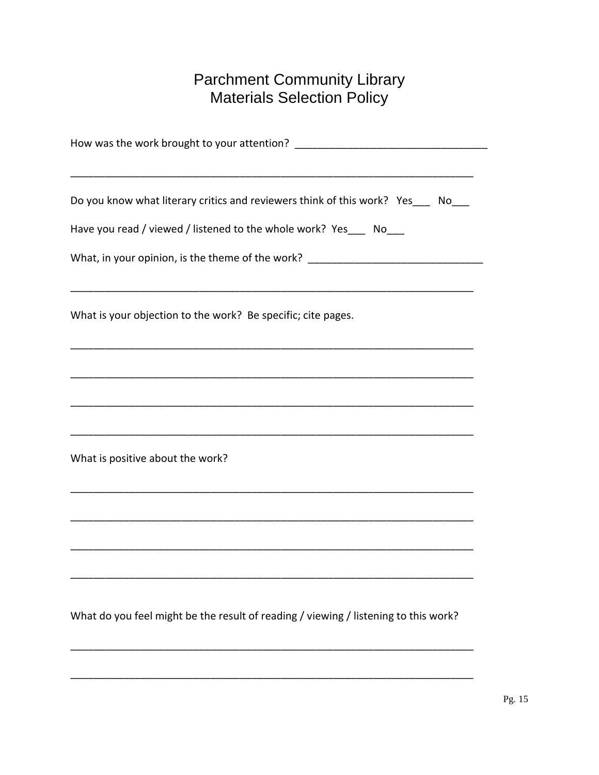| Do you know what literary critics and reviewers think of this work? Yes___ No___                                     |
|----------------------------------------------------------------------------------------------------------------------|
|                                                                                                                      |
| Have you read / viewed / listened to the whole work? Yes ____ No___                                                  |
| What, in your opinion, is the theme of the work? _______________________________                                     |
| What is your objection to the work? Be specific; cite pages.                                                         |
|                                                                                                                      |
|                                                                                                                      |
|                                                                                                                      |
| What is positive about the work?                                                                                     |
| <u> 1980 - Jan James James James James James James James James James James James James James James James James J</u> |
|                                                                                                                      |
|                                                                                                                      |
|                                                                                                                      |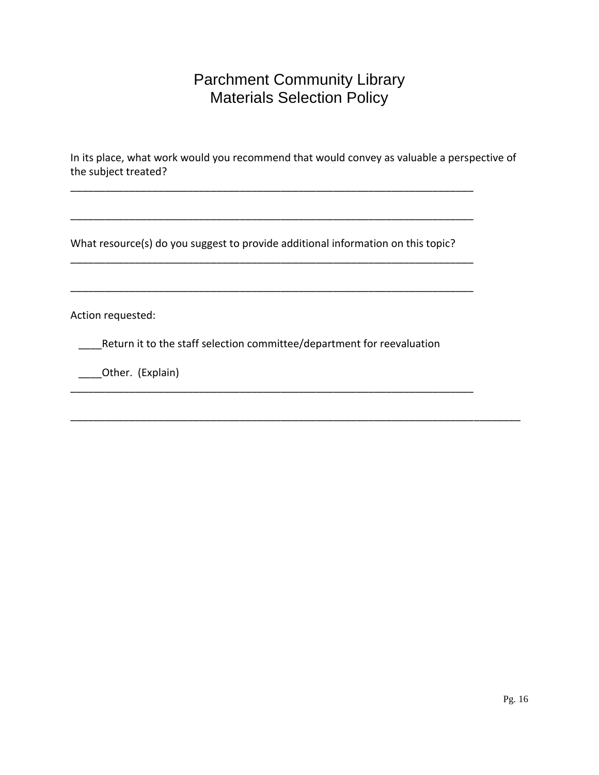In its place, what work would you recommend that would convey as valuable a perspective of the subject treated?

What resource(s) do you suggest to provide additional information on this topic?

\_\_\_\_\_\_\_\_\_\_\_\_\_\_\_\_\_\_\_\_\_\_\_\_\_\_\_\_\_\_\_\_\_\_\_\_\_\_\_\_\_\_\_\_\_\_\_\_\_\_\_\_\_\_\_\_\_\_\_\_\_\_\_\_\_\_\_\_\_

\_\_\_\_\_\_\_\_\_\_\_\_\_\_\_\_\_\_\_\_\_\_\_\_\_\_\_\_\_\_\_\_\_\_\_\_\_\_\_\_\_\_\_\_\_\_\_\_\_\_\_\_\_\_\_\_\_\_\_\_\_\_\_\_\_\_\_\_\_

\_\_\_\_\_\_\_\_\_\_\_\_\_\_\_\_\_\_\_\_\_\_\_\_\_\_\_\_\_\_\_\_\_\_\_\_\_\_\_\_\_\_\_\_\_\_\_\_\_\_\_\_\_\_\_\_\_\_\_\_\_\_\_\_\_\_\_\_\_

\_\_\_\_\_\_\_\_\_\_\_\_\_\_\_\_\_\_\_\_\_\_\_\_\_\_\_\_\_\_\_\_\_\_\_\_\_\_\_\_\_\_\_\_\_\_\_\_\_\_\_\_\_\_\_\_\_\_\_\_\_\_\_\_\_\_\_\_\_

Action requested:

\_\_\_\_Return it to the staff selection committee/department for reevaluation

\_\_\_\_\_\_\_\_\_\_\_\_\_\_\_\_\_\_\_\_\_\_\_\_\_\_\_\_\_\_\_\_\_\_\_\_\_\_\_\_\_\_\_\_\_\_\_\_\_\_\_\_\_\_\_\_\_\_\_\_\_\_\_\_\_\_\_\_\_

\_\_\_\_\_\_\_\_\_\_\_\_\_\_\_\_\_\_\_\_\_\_\_\_\_\_\_\_\_\_\_\_\_\_\_\_\_\_\_\_\_\_\_\_\_\_\_\_\_\_\_\_\_\_\_\_\_\_\_\_\_\_\_\_\_\_\_\_\_\_\_\_\_\_\_\_\_

\_\_\_\_Other. (Explain)